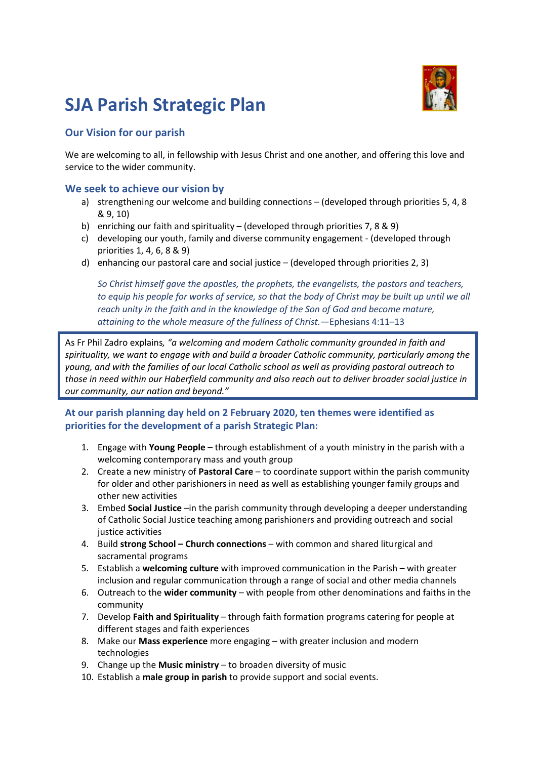# **SJA Parish Strategic Plan**

### **Our Vision for our parish**

We are welcoming to all, in fellowship with Jesus Christ and one another, and offering this love and service to the wider community.

#### **We seek to achieve our vision by**

- a) strengthening our welcome and building connections (developed through priorities 5, 4, 8 & 9, 10)
- b) enriching our faith and spirituality (developed through priorities 7, 8 & 9)
- c) developing our youth, family and diverse community engagement (developed through priorities 1, 4, 6, 8 & 9)
- d) enhancing our pastoral care and social justice (developed through priorities 2, 3)

*So Christ himself gave the apostles, the prophets, the evangelists, the pastors and teachers, to equip his people for works of service, so that the body of Christ may be built up until we all reach unity in the faith and in the knowledge of the Son of God and become mature, attaining to the whole measure of the fullness of Christ.—*Ephesians 4:11–13

As Fr Phil Zadro explains*, "a welcoming and modern Catholic community grounded in faith and spirituality, we want to engage with and build a broader Catholic community, particularly among the young, and with the families of our local Catholic school as well as providing pastoral outreach to those in need within our Haberfield community and also reach out to deliver broader social justice in our community, our nation and beyond."* 

#### **At our parish planning day held on 2 February 2020, ten themes were identified as priorities for the development of a parish Strategic Plan:**

- 1. Engage with **Young People** through establishment of a youth ministry in the parish with a welcoming contemporary mass and youth group
- 2. Create a new ministry of **Pastoral Care** to coordinate support within the parish community for older and other parishioners in need as well as establishing younger family groups and other new activities
- 3. Embed **Social Justice** –in the parish community through developing a deeper understanding of Catholic Social Justice teaching among parishioners and providing outreach and social justice activities
- 4. Build **strong School – Church connections** with common and shared liturgical and sacramental programs
- 5. Establish a **welcoming culture** with improved communication in the Parish with greater inclusion and regular communication through a range of social and other media channels
- 6. Outreach to the **wider community** with people from other denominations and faiths in the community
- 7. Develop **Faith and Spirituality** through faith formation programs catering for people at different stages and faith experiences
- 8. Make our **Mass experience** more engaging with greater inclusion and modern technologies
- 9. Change up the **Music ministry** to broaden diversity of music
- 10. Establish a **male group in parish** to provide support and social events.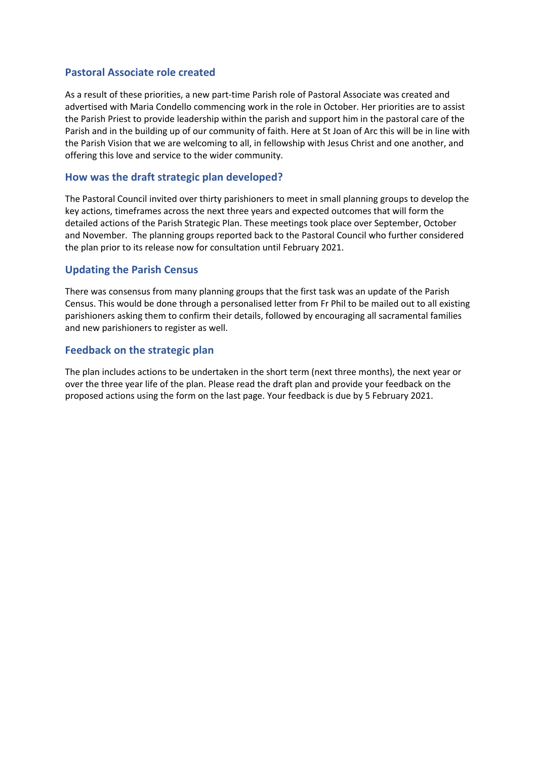#### **Pastoral Associate role created**

As a result of these priorities, a new part-time Parish role of Pastoral Associate was created and advertised with Maria Condello commencing work in the role in October. Her priorities are to assist the Parish Priest to provide leadership within the parish and support him in the pastoral care of the Parish and in the building up of our community of faith. Here at St Joan of Arc this will be in line with the Parish Vision that we are welcoming to all, in fellowship with Jesus Christ and one another, and offering this love and service to the wider community.

#### **How was the draft strategic plan developed?**

The Pastoral Council invited over thirty parishioners to meet in small planning groups to develop the key actions, timeframes across the next three years and expected outcomes that will form the detailed actions of the Parish Strategic Plan. These meetings took place over September, October and November. The planning groups reported back to the Pastoral Council who further considered the plan prior to its release now for consultation until February 2021.

#### **Updating the Parish Census**

There was consensus from many planning groups that the first task was an update of the Parish Census. This would be done through a personalised letter from Fr Phil to be mailed out to all existing parishioners asking them to confirm their details, followed by encouraging all sacramental families and new parishioners to register as well.

#### **Feedback on the strategic plan**

The plan includes actions to be undertaken in the short term (next three months), the next year or over the three year life of the plan. Please read the draft plan and provide your feedback on the proposed actions using the form on the last page. Your feedback is due by 5 February 2021.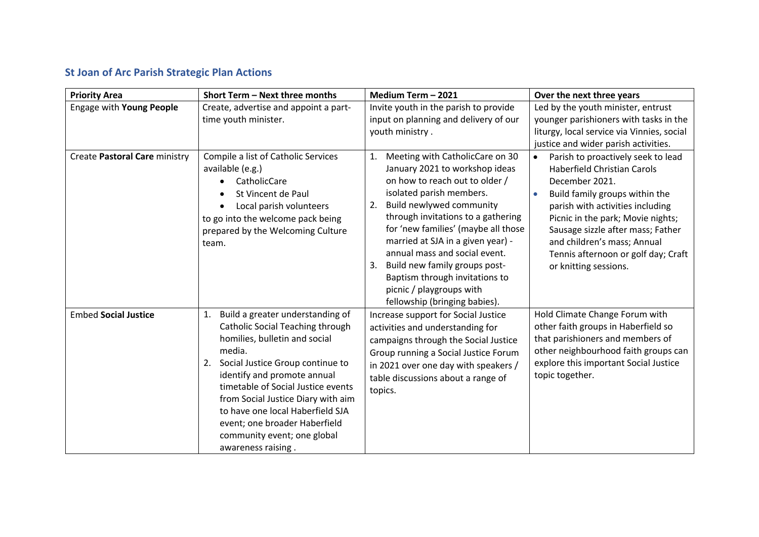## **St Joan of Arc Parish Strategic Plan Actions**

| <b>Priority Area</b>          | Short Term - Next three months                                                                                                                                                                                                                                                                                                                                                                       | Medium Term - 2021                                                                                                                                                                                                                                                                                                                                                                                                                                               | Over the next three years                                                                                                                                                                                                                                                                                                                                           |
|-------------------------------|------------------------------------------------------------------------------------------------------------------------------------------------------------------------------------------------------------------------------------------------------------------------------------------------------------------------------------------------------------------------------------------------------|------------------------------------------------------------------------------------------------------------------------------------------------------------------------------------------------------------------------------------------------------------------------------------------------------------------------------------------------------------------------------------------------------------------------------------------------------------------|---------------------------------------------------------------------------------------------------------------------------------------------------------------------------------------------------------------------------------------------------------------------------------------------------------------------------------------------------------------------|
| Engage with Young People      | Create, advertise and appoint a part-                                                                                                                                                                                                                                                                                                                                                                | Invite youth in the parish to provide                                                                                                                                                                                                                                                                                                                                                                                                                            | Led by the youth minister, entrust                                                                                                                                                                                                                                                                                                                                  |
|                               | time youth minister.                                                                                                                                                                                                                                                                                                                                                                                 | input on planning and delivery of our<br>youth ministry.                                                                                                                                                                                                                                                                                                                                                                                                         | younger parishioners with tasks in the<br>liturgy, local service via Vinnies, social<br>justice and wider parish activities.                                                                                                                                                                                                                                        |
| Create Pastoral Care ministry | Compile a list of Catholic Services<br>available (e.g.)<br>CatholicCare<br>St Vincent de Paul<br>Local parish volunteers<br>to go into the welcome pack being<br>prepared by the Welcoming Culture<br>team.                                                                                                                                                                                          | Meeting with CatholicCare on 30<br>1.<br>January 2021 to workshop ideas<br>on how to reach out to older /<br>isolated parish members.<br>Build newlywed community<br>2.<br>through invitations to a gathering<br>for 'new families' (maybe all those<br>married at SJA in a given year) -<br>annual mass and social event.<br>Build new family groups post-<br>3.<br>Baptism through invitations to<br>picnic / playgroups with<br>fellowship (bringing babies). | Parish to proactively seek to lead<br>$\bullet$<br><b>Haberfield Christian Carols</b><br>December 2021.<br>Build family groups within the<br>$\bullet$<br>parish with activities including<br>Picnic in the park; Movie nights;<br>Sausage sizzle after mass; Father<br>and children's mass; Annual<br>Tennis afternoon or golf day; Craft<br>or knitting sessions. |
| <b>Embed Social Justice</b>   | Build a greater understanding of<br>1.<br>Catholic Social Teaching through<br>homilies, bulletin and social<br>media.<br>Social Justice Group continue to<br>2.<br>identify and promote annual<br>timetable of Social Justice events<br>from Social Justice Diary with aim<br>to have one local Haberfield SJA<br>event; one broader Haberfield<br>community event; one global<br>awareness raising. | Increase support for Social Justice<br>activities and understanding for<br>campaigns through the Social Justice<br>Group running a Social Justice Forum<br>in 2021 over one day with speakers /<br>table discussions about a range of<br>topics.                                                                                                                                                                                                                 | Hold Climate Change Forum with<br>other faith groups in Haberfield so<br>that parishioners and members of<br>other neighbourhood faith groups can<br>explore this important Social Justice<br>topic together.                                                                                                                                                       |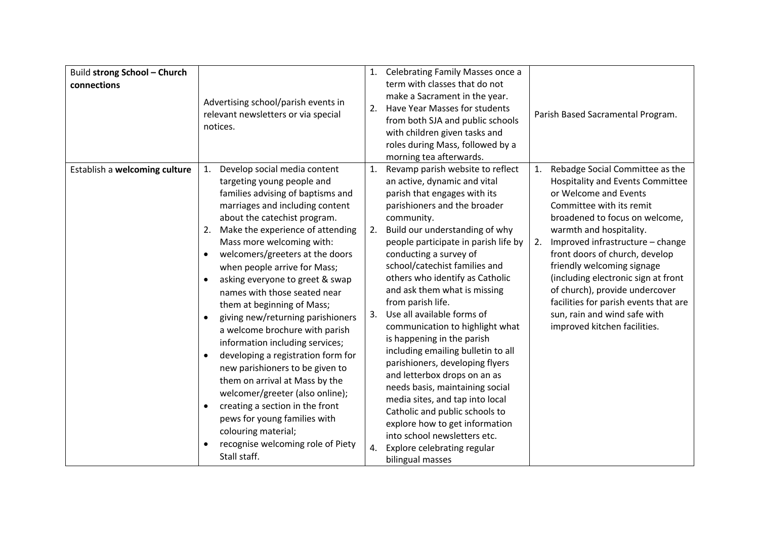| Build strong School - Church<br>connections | Advertising school/parish events in<br>relevant newsletters or via special<br>notices.                                                                                                                                                                                                                                                                                                                                                                                                                                                                                                                                                                                                                                                                                                                                                                            | 2.                   | 1. Celebrating Family Masses once a<br>term with classes that do not<br>make a Sacrament in the year.<br>Have Year Masses for students<br>from both SJA and public schools<br>with children given tasks and<br>roles during Mass, followed by a<br>morning tea afterwards.                                                                                                                                                                                                                                                                                                                                                                                                                                                                                                                                       |          | Parish Based Sacramental Program.                                                                                                                                                                                                                                                                                                                                                                                                                                                  |
|---------------------------------------------|-------------------------------------------------------------------------------------------------------------------------------------------------------------------------------------------------------------------------------------------------------------------------------------------------------------------------------------------------------------------------------------------------------------------------------------------------------------------------------------------------------------------------------------------------------------------------------------------------------------------------------------------------------------------------------------------------------------------------------------------------------------------------------------------------------------------------------------------------------------------|----------------------|------------------------------------------------------------------------------------------------------------------------------------------------------------------------------------------------------------------------------------------------------------------------------------------------------------------------------------------------------------------------------------------------------------------------------------------------------------------------------------------------------------------------------------------------------------------------------------------------------------------------------------------------------------------------------------------------------------------------------------------------------------------------------------------------------------------|----------|------------------------------------------------------------------------------------------------------------------------------------------------------------------------------------------------------------------------------------------------------------------------------------------------------------------------------------------------------------------------------------------------------------------------------------------------------------------------------------|
| Establish a welcoming culture               | Develop social media content<br>1.<br>targeting young people and<br>families advising of baptisms and<br>marriages and including content<br>about the catechist program.<br>Make the experience of attending<br>2.<br>Mass more welcoming with:<br>welcomers/greeters at the doors<br>$\bullet$<br>when people arrive for Mass;<br>asking everyone to greet & swap<br>names with those seated near<br>them at beginning of Mass;<br>giving new/returning parishioners<br>$\bullet$<br>a welcome brochure with parish<br>information including services;<br>developing a registration form for<br>new parishioners to be given to<br>them on arrival at Mass by the<br>welcomer/greeter (also online);<br>creating a section in the front<br>$\bullet$<br>pews for young families with<br>colouring material;<br>recognise welcoming role of Piety<br>Stall staff. | 1.<br>2.<br>3.<br>4. | Revamp parish website to reflect<br>an active, dynamic and vital<br>parish that engages with its<br>parishioners and the broader<br>community.<br>Build our understanding of why<br>people participate in parish life by<br>conducting a survey of<br>school/catechist families and<br>others who identify as Catholic<br>and ask them what is missing<br>from parish life.<br>Use all available forms of<br>communication to highlight what<br>is happening in the parish<br>including emailing bulletin to all<br>parishioners, developing flyers<br>and letterbox drops on an as<br>needs basis, maintaining social<br>media sites, and tap into local<br>Catholic and public schools to<br>explore how to get information<br>into school newsletters etc.<br>Explore celebrating regular<br>bilingual masses | 1.<br>2. | Rebadge Social Committee as the<br><b>Hospitality and Events Committee</b><br>or Welcome and Events<br>Committee with its remit<br>broadened to focus on welcome,<br>warmth and hospitality.<br>Improved infrastructure - change<br>front doors of church, develop<br>friendly welcoming signage<br>(including electronic sign at front<br>of church), provide undercover<br>facilities for parish events that are<br>sun, rain and wind safe with<br>improved kitchen facilities. |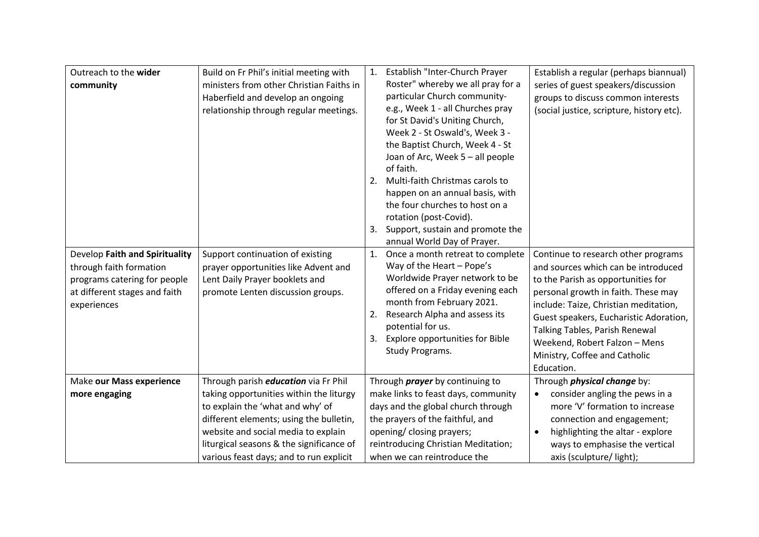| Outreach to the wider<br>community                                                                                                        | Build on Fr Phil's initial meeting with<br>ministers from other Christian Faiths in<br>Haberfield and develop an ongoing<br>relationship through regular meetings.                                                                                                                                  | Establish "Inter-Church Prayer<br>1.<br>Roster" whereby we all pray for a<br>particular Church community-<br>e.g., Week 1 - all Churches pray<br>for St David's Uniting Church,<br>Week 2 - St Oswald's, Week 3 -<br>the Baptist Church, Week 4 - St<br>Joan of Arc, Week 5 - all people<br>of faith.<br>Multi-faith Christmas carols to<br>2.<br>happen on an annual basis, with<br>the four churches to host on a<br>rotation (post-Covid).<br>Support, sustain and promote the<br>3.<br>annual World Day of Prayer. | Establish a regular (perhaps biannual)<br>series of guest speakers/discussion<br>groups to discuss common interests<br>(social justice, scripture, history etc).                                                                                                                                                                                             |
|-------------------------------------------------------------------------------------------------------------------------------------------|-----------------------------------------------------------------------------------------------------------------------------------------------------------------------------------------------------------------------------------------------------------------------------------------------------|------------------------------------------------------------------------------------------------------------------------------------------------------------------------------------------------------------------------------------------------------------------------------------------------------------------------------------------------------------------------------------------------------------------------------------------------------------------------------------------------------------------------|--------------------------------------------------------------------------------------------------------------------------------------------------------------------------------------------------------------------------------------------------------------------------------------------------------------------------------------------------------------|
| Develop Faith and Spirituality<br>through faith formation<br>programs catering for people<br>at different stages and faith<br>experiences | Support continuation of existing<br>prayer opportunities like Advent and<br>Lent Daily Prayer booklets and<br>promote Lenten discussion groups.                                                                                                                                                     | Once a month retreat to complete<br>1.<br>Way of the Heart - Pope's<br>Worldwide Prayer network to be<br>offered on a Friday evening each<br>month from February 2021.<br>Research Alpha and assess its<br>2.<br>potential for us.<br><b>Explore opportunities for Bible</b><br>3.<br>Study Programs.                                                                                                                                                                                                                  | Continue to research other programs<br>and sources which can be introduced<br>to the Parish as opportunities for<br>personal growth in faith. These may<br>include: Taize, Christian meditation,<br>Guest speakers, Eucharistic Adoration,<br>Talking Tables, Parish Renewal<br>Weekend, Robert Falzon - Mens<br>Ministry, Coffee and Catholic<br>Education. |
| Make our Mass experience<br>more engaging                                                                                                 | Through parish <i>education</i> via Fr Phil<br>taking opportunities within the liturgy<br>to explain the 'what and why' of<br>different elements; using the bulletin,<br>website and social media to explain<br>liturgical seasons & the significance of<br>various feast days; and to run explicit | Through <i>prayer</i> by continuing to<br>make links to feast days, community<br>days and the global church through<br>the prayers of the faithful, and<br>opening/ closing prayers;<br>reintroducing Christian Meditation;<br>when we can reintroduce the                                                                                                                                                                                                                                                             | Through <i>physical change</i> by:<br>consider angling the pews in a<br>$\bullet$<br>more 'V' formation to increase<br>connection and engagement;<br>highlighting the altar - explore<br>$\bullet$<br>ways to emphasise the vertical<br>axis (sculpture/light);                                                                                              |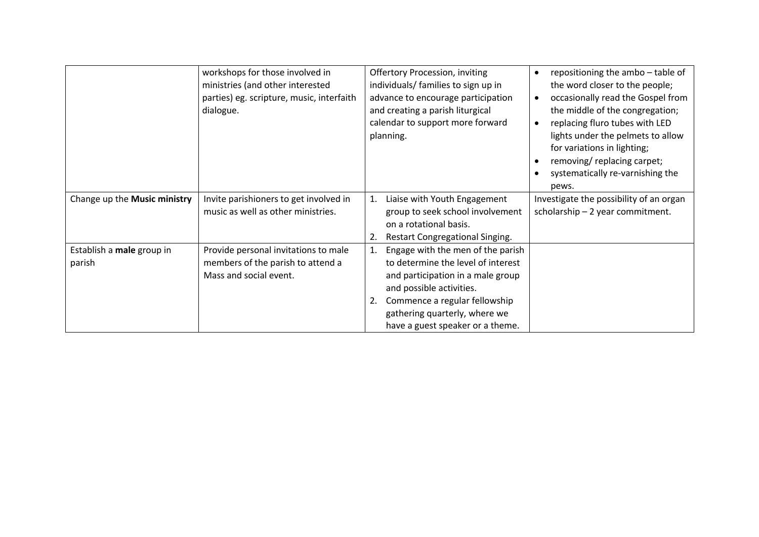|                                     | workshops for those involved in<br>ministries (and other interested<br>parties) eg. scripture, music, interfaith<br>dialogue. | <b>Offertory Procession, inviting</b><br>individuals/ families to sign up in<br>advance to encourage participation<br>and creating a parish liturgical<br>calendar to support more forward<br>planning.                                              | repositioning the ambo - table of<br>$\bullet$<br>the word closer to the people;<br>occasionally read the Gospel from<br>$\bullet$<br>the middle of the congregation;<br>replacing fluro tubes with LED<br>$\bullet$<br>lights under the pelmets to allow<br>for variations in lighting;<br>removing/replacing carpet;<br>systematically re-varnishing the<br>pews. |
|-------------------------------------|-------------------------------------------------------------------------------------------------------------------------------|------------------------------------------------------------------------------------------------------------------------------------------------------------------------------------------------------------------------------------------------------|---------------------------------------------------------------------------------------------------------------------------------------------------------------------------------------------------------------------------------------------------------------------------------------------------------------------------------------------------------------------|
| Change up the Music ministry        | Invite parishioners to get involved in<br>music as well as other ministries.                                                  | Liaise with Youth Engagement<br>1.<br>group to seek school involvement<br>on a rotational basis.<br>Restart Congregational Singing.<br>2.                                                                                                            | Investigate the possibility of an organ<br>scholarship - 2 year commitment.                                                                                                                                                                                                                                                                                         |
| Establish a male group in<br>parish | Provide personal invitations to male<br>members of the parish to attend a<br>Mass and social event.                           | Engage with the men of the parish<br>1.<br>to determine the level of interest<br>and participation in a male group<br>and possible activities.<br>Commence a regular fellowship<br>gathering quarterly, where we<br>have a guest speaker or a theme. |                                                                                                                                                                                                                                                                                                                                                                     |